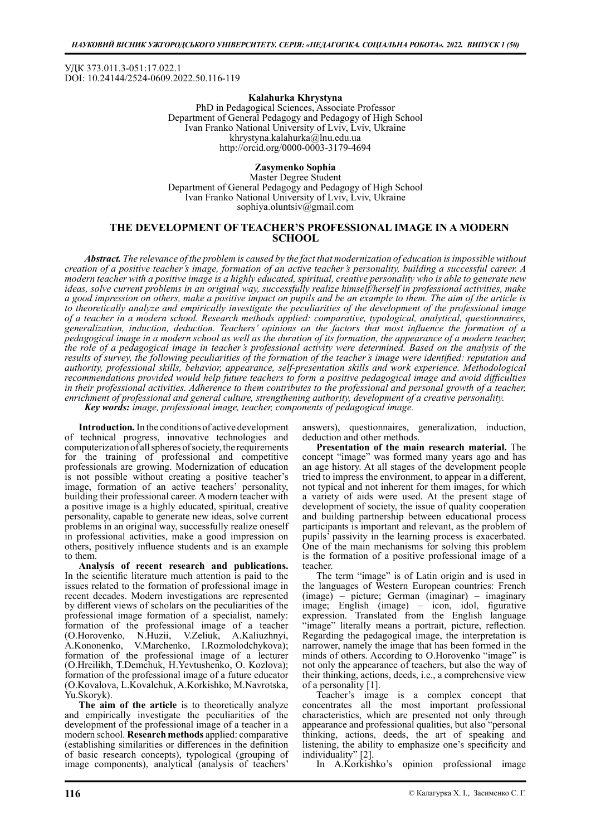УДК 373.011.3-051:17.022.1 DOI: 10.24144/2524-0609.2022.50.116-119

### Kalahurka Khrystyna

PhD in Pedagogical Sciences, Associate Professor Department of General Pedagogy and Pedagogy of High School Ivan Franko National University of Lviv, Lviv, Ukraine khrystyna.kalahurka@lnu.edu.ua http://orcid.org/0000-0003-3179-4694

# Zasymenko Sophia

Master Degree Student Department of General Pedagogy and Pedagogy of High School Ivan Franko National University of Lviv, Lviv, Ukraine sophiya.oluntsiv@gmail.com

# THE DEVELOPMENT OF TEACHER'S PROFESSIONAL IMAGE IN A MODERN **SCHOOL**

Abstract. The relevance of the problem is caused by the fact that modernization of education is impossible without creation of a positive teacher's image, formation of an active teacher's personality, building a successful career. A modern teacher with a positive image is a highly educated, spiritual, creative personality who is able to generate new ideas, solve current problems in an original way, successfully realize himself/herself in professional activities, make a good impression on others, make a positive impact on pupils and be an example to them. The aim of the article is to theoretically analyze and empirically investigate the peculiarities of the development of the professional image of a teacher in a modern school. Research methods applied: comparative, typological, analytical, questionnaires, generalization, induction, deduction. Teachers' opinions on the factors that most influence the formation of a pedagogical image in a modern school as well as the duration of its formation, the appearance of a modern teacher, the role of a pedagogical image in teacher's professional activity were determined. Based on the analysis of the results of survey, the following peculiarities of the formation of the teacher's image were identified: reputation and authority, professional skills, behavior, appearance, self-presentation skills and work experience. Methodological recommendations provided would help future teachers to form a positive pedagogical image and avoid difficulties in their professional activities. Adherence to them contributes to the professional and personal growth of a teacher, enrichment of professional and general culture, strengthening authority, development of a creative personality. Key words: image, professional image, teacher, components of pedagogical image.

Introduction. In the conditions of active development of technical progress, innovative technologies and computerization of all spheres of society, the requirements for the training of professional and competitive professionals are growing. Modernization of education is not possible without creating a positive teacher's image, formation of an active teachers' personality, building their professional career. A modern teacher with a positive image is a highly educated, spiritual, creative personality, capable to generate new ideas, solve current problems in an original way, successfully realize oneself in professional activities, make a good impression on others, positively influence students and is an example to them.

Analysis of recent research and publications. In the scientific literature much attention is paid to the issues related to the formation of professional image in recent decades. Modern investigations are represented by different views of scholars on the peculiarities of the professional image formation of a specialist, namely: formation of the professional image of a teacher (O.Horovenko, N.Huzii, V.Zeliuk, A.Kaliuzhnyi, N.Huzii, V.Zeliuk, A.Kaliuzhnyi,<br>V.Marchenko, I.Rozmolodchykova); A.Kononenko, V.Marchenko, I.Rozmolodchykova); formation of the professional image of a lecturer (O.Hreilikh, T.Demchuk, H.Yevtushenko, O. Kozlova); formation of the professional image of a future educator (O.Kovalova, L.Kovalchuk, A.Korkishko, M.Navrotska, Yu.Skoryk).

The aim of the article is to theoretically analyze and empirically investigate the peculiarities of the development of the professional image of a teacher in a modern school. Research methods applied: comparative (establishing similarities or differences in the definition of basic research concepts), typological (grouping of image components), analytical (analysis of teachers'

answers), questionnaires, generalization, induction, deduction and other methods.

Presentation of the main research material. The concept "image" was formed many years ago and has an age history. At all stages of the development people tried to impress the environment, to appear in a different, not typical and not inherent for them images, for which a variety of aids were used. At the present stage of development of society, the issue of quality cooperation and building partnership between educational process participants is important and relevant, as the problem of pupils' passivity in the learning process is exacerbated. One of the main mechanisms for solving this problem is the formation of a positive professional image of a teacher.

The term "image" is of Latin origin and is used in the languages of Western European countries: French (image) – picture; German (imaginar) – imaginary  $image$ ; English (image) – icon, idol, figurative expression. Translated from the English language "image" literally means a portrait, picture, reflection. Regarding the pedagogical image, the interpretation is narrower, namely the image that has been formed in the minds of others. According to O.Horovenko "image" is not only the appearance of teachers, but also the way of their thinking, actions, deeds, i.e., a comprehensive view of a personality [1].

Teacher's image is a complex concept that concentrates all the most important professional characteristics, which are presented not only through appearance and professional qualities, but also "personal thinking, actions, deeds, the art of speaking and listening, the ability to emphasize one's specificity and individuality" [2].

In A.Korkishko's opinion professional image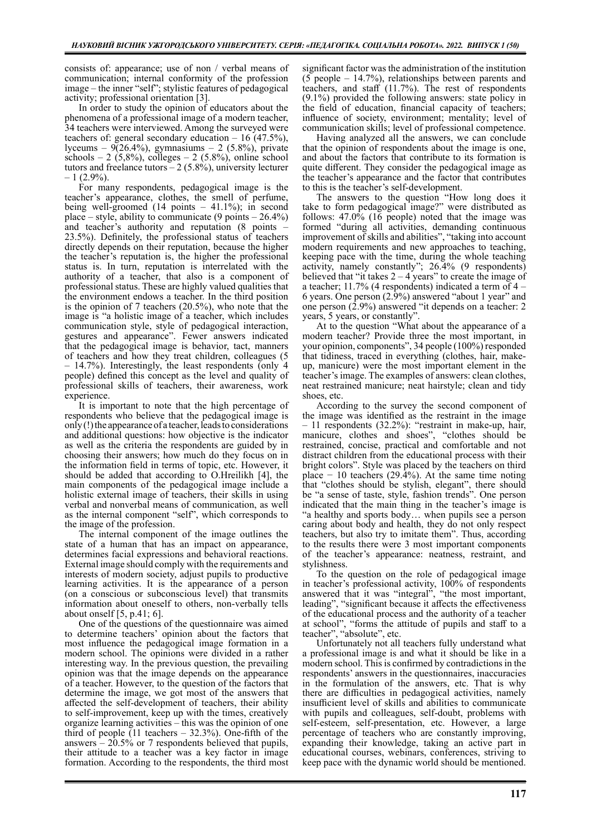consists of: appearance; use of non / verbal means of communication; internal conformity of the profession image – the inner "self"; stylistic features of pedagogical activity; professional orientation [3].

In order to study the opinion of educators about the phenomena of a professional image of a modern teacher, 34 teachers were interviewed. Among the surveyed were teachers of: general secondary education  $-16(47.5\%)$ , lyceums –  $9(26.4\%)$ , gymnasiums – 2 (5.8%), private schools – 2 (5,8%), colleges – 2 (5.8%), online school tutors and freelance tutors  $-2$  (5.8%), university lecturer  $-1$  (2.9%).

For many respondents, pedagogical image is the teacher's appearance, clothes, the smell of perfume, being well-groomed (14 points – 41.1%); in second place – style, ability to communicate  $(9 \text{ points} - 26.4\%)$ and teacher's authority and reputation (8 points –  $23.5\%$ ). Definitely, the professional status of teachers directly depends on their reputation, because the higher the teacher's reputation is, the higher the professional status is. In turn, reputation is interrelated with the authority of a teacher, that also is a component of professional status. These are highly valued qualities that the environment endows a teacher. In the third position is the opinion of 7 teachers (20.5%), who note that the image is "a holistic image of a teacher, which includes communication style, style of pedagogical interaction, gestures and appearance". Fewer answers indicated that the pedagogical image is behavior, tact, manners of teachers and how they treat children, colleagues (5 – 14.7%). Interestingly, the least respondents (only 4 people) defined this concept as the level and quality of professional skills of teachers, their awareness, work experience.

It is important to note that the high percentage of respondents who believe that the pedagogical image is only (!) the appearance of a teacher, leads to considerations and additional questions: how objective is the indicator as well as the criteria the respondents are guided by in choosing their answers; how much do they focus on in the information field in terms of topic, etc. However, it should be added that according to O.Hreilikh [4], the main components of the pedagogical image include a holistic external image of teachers, their skills in using verbal and nonverbal means of communication, as well as the internal component "self", which corresponds to the image of the profession.

The internal component of the image outlines the state of a human that has an impact on appearance, determines facial expressions and behavioral reactions. External image should comply with the requirements and interests of modern society, adjust pupils to productive learning activities. It is the appearance of a person (on a conscious or subconscious level) that transmits information about oneself to others, non-verbally tells about onself  $[5, p.41; 6]$ .

One of the questions of the questionnaire was aimed to determine teachers' opinion about the factors that most influence the pedagogical image formation in a modern school. The opinions were divided in a rather interesting way. In the previous question, the prevailing opinion was that the image depends on the appearance of a teacher. However, to the question of the factors that determine the image, we got most of the answers that affected the self-development of teachers, their ability to self-improvement, keep up with the times, creatively organize learning activities – this was the opinion of one third of people  $(11$  teachers - 32.3%). One-fifth of the answers  $-20.5\%$  or 7 respondents believed that pupils, their attitude to a teacher was a key factor in image formation. According to the respondents, the third most

significant factor was the administration of the institution (5 people – 14.7%), relationships between parents and teachers, and staff (11.7%). The rest of respondents (9.1%) provided the following answers: state policy in the field of education, financial capacity of teachers; influence of society, environment; mentality; level of communication skills; level of professional competence.

Having analyzed all the answers, we can conclude that the opinion of respondents about the image is one, and about the factors that contribute to its formation is quite different. They consider the pedagogical image as the teacher's appearance and the factor that contributes to this is the teacher's self-development.

The answers to the question "How long does it take to form pedagogical image?" were distributed as follows: 47.0% (16 people) noted that the image was formed "during all activities, demanding continuous improvement of skills and abilities", "taking into account modern requirements and new approaches to teaching, keeping pace with the time, during the whole teaching activity, namely constantly"; 26.4% (9 respondents) believed that "it takes  $2 - 4$  years" to create the image of a teacher; 11.7% (4 respondents) indicated a term of 4 – 6 years. One person (2.9%) answered "about 1 year" and one person  $(2.9\%)$  answered "it depends on a teacher: 2 years, 5 years, or constantly".

At to the question "What about the appearance of a modern teacher? Provide three the most important, in your opinion, components", 34 people (100%) responded that tidiness, traced in everything (clothes, hair, makeup, manicure) were the most important element in the teacher's image. The examples of answers: clean clothes, neat restrained manicure; neat hairstyle; clean and tidy shoes, etc.

According to the survey the second component of the image was identified as the restraint in the image – 11 respondents (32.2%): "restraint in make-up, hair, manicure, clothes and shoes", "clothes should be restrained, concise, practical and comfortable and not distract children from the educational process with their bright colors". Style was placed by the teachers on third place  $-10$  teachers (29.4%). At the same time noting that "clothes should be stylish, elegant", there should be "a sense of taste, style, fashion trends". One person indicated that the main thing in the teacher's image is "a healthy and sports body… when pupils see a person caring about body and health, they do not only respect teachers, but also try to imitate them". Thus, according to the results there were 3 most important components of the teacher's appearance: neatness, restraint, and stylishness.

To the question on the role of pedagogical image in teacher's professional activity, 100% of respondents answered that it was "integral", "the most important, leading", "significant because it affects the effectiveness of the educational process and the authority of a teacher at school", "forms the attitude of pupils and staff to a teacher", "absolute", etc.

Unfortunately not all teachers fully understand what a professional image is and what it should be like in a modern school. This is confirmed by contradictions in the respondents' answers in the questionnaires, inaccuracies in the formulation of the answers, etc. That is why there are difficulties in pedagogical activities, namely insufficient level of skills and abilities to communicate with pupils and colleagues, self-doubt, problems with self-esteem, self-presentation, etc. However, a large percentage of teachers who are constantly improving, expanding their knowledge, taking an active part in educational courses, webinars, conferences, striving to keep pace with the dynamic world should be mentioned.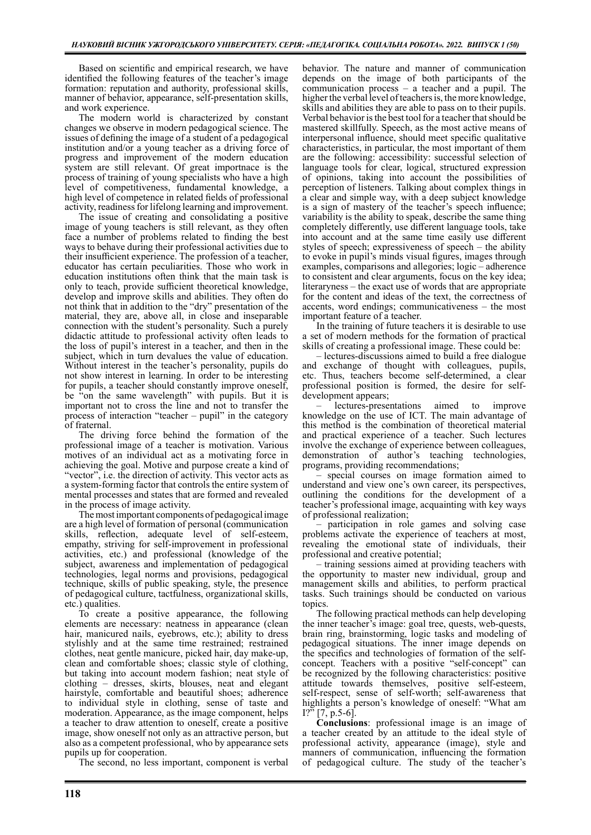Based on scientific and empirical research, we have identified the following features of the teacher's image formation: reputation and authority, professional skills, manner of behavior, appearance, self-presentation skills, and work experience.

The modern world is characterized by constant changes we observe in modern pedagogical science. The issues of defining the image of a student of a pedagogical institution and/or a young teacher as a driving force of progress and improvement of the modern education system are still relevant. Of great importnace is the process of training of young specialists who have a high level of competitiveness, fundamental knowledge, a high level of competence in related fields of professional activity, readiness for lifelong learning and improvement.

The issue of creating and consolidating a positive image of young teachers is still relevant, as they often face a number of problems related to finding the best ways to behave during their professional activities due to their insufficient experience. The profession of a teacher, educator has certain peculiarities. Those who work in education institutions often think that the main task is only to teach, provide sufficient theoretical knowledge, develop and improve skills and abilities. They often do not think that in addition to the "dry" presentation of the material, they are, above all, in close and inseparable connection with the student's personality. Such a purely didactic attitude to professional activity often leads to the loss of pupil's interest in a teacher, and then in the subject, which in turn devalues the value of education. Without interest in the teacher's personality, pupils do not show interest in learning. In order to be interesting for pupils, a teacher should constantly improve oneself, be "on the same wavelength" with pupils. But it is important not to cross the line and not to transfer the process of interaction "teacher – pupil" in the category of fraternal.

The driving force behind the formation of the professional image of a teacher is motivation. Various motives of an individual act as a motivating force in achieving the goal. Motive and purpose create a kind of "vector", i.e. the direction of activity. This vector acts as a system-forming factor that controls the entire system of mental processes and states that are formed and revealed in the process of image activity.

The most important components of pedagogical image are a high level of formation of personal (communication skills, reflection, adequate level of self-esteem, empathy, striving for self-improvement in professional activities, etc.) and professional (knowledge of the subject, awareness and implementation of pedagogical technologies, legal norms and provisions, pedagogical technique, skills of public speaking, style, the presence of pedagogical culture, tactfulness, organizational skills, etc.) qualities.

To create a positive appearance, the following elements are neсessary: neatness in appearance (clean hair, manicured nails, eyebrows, etc.); ability to dress stylishly and at the same time restrained; restrained clothes, neat gentle manicure, picked hair, day make-up, clean and comfortable shoes; classic style of clothing, but taking into account modern fashion; neat style of clothing – dresses, skirts, blouses, neat and elegant hairstyle, comfortable and beautiful shoes; adherence to individual style in clothing, sense of taste and moderation. Appearance, as the image component, helps a teacher to draw attention to oneself, create a positive image, show oneself not only as an attractive person, but also as a competent professional, who by appearance sets pupils up for cooperation.

The second, no less important, component is verbal

behavior. The nature and manner of communication depends on the image of both participants of the communication process – a teacher and a pupil. The higher the verbal level of teachers is, the more knowledge, skills and abilities they are able to pass on to their pupils. Verbal behavior is the best tool for a teacher that should be mastered skillfully. Speech, as the most active means of interpersonal influence, should meet specific qualitative characteristics, in particular, the most important of them are the following: accessibility: successful selection of language tools for clear, logical, structured expression of opinions, taking into account the possibilities of perception of listeners. Talking about complex things in a clear and simple way, with a deep subject knowledge is a sign of mastery of the teacher's speech influence; variability is the ability to speak, describe the same thing completely differently, use different language tools, take into account and at the same time easily use different styles of speech; expressiveness of speech – the ability to evoke in pupil's minds visual figures, images through examples, comparisons and allegories; logic – adherence to consistent and clear arguments, focus on the key idea; literaryness – the exact use of words that are appropriate for the content and ideas of the text, the correctness of accents, word endings; communicativeness – the most important feature of a teacher.

In the training of future teachers it is desirable to use a set of modern methods for the formation of practical skills of creating a professional image. These could be:

– lectures-discussions aimed to build a free dialogue and exchange of thought with colleagues, pupils, etc. Thus, teachers become self-determined, a clear professional position is formed, the desire for selfdevelopment appears;

– lectures-presentations aimed to improve knowledge on the use of ICT. The main advantage of this method is the combination of theoretical material and practical experience of a teacher. Such lectures involve the exchange of experience between colleagues, demonstration of author's teaching technologies, programs, providing recommendations;

– special courses on image formation aimed to understand and view one's own career, its perspectives, outlining the conditions for the development of a teacher's professional image, acquainting with key ways of professional realization;

– participation in role games and solving case problems activate the experience of teachers at most, revealing the emotional state of individuals, their professional and creative potential;

– training sessions aimed at providing teachers with the opportunity to master new individual, group and management skills and abilities, to perform practical tasks. Such trainings should be conducted on various topics.

The following practical methods can help developing the inner teacher's image: goal tree, quests, web-quests, brain ring, brainstorming, logic tasks and modeling of pedagogical situations. The inner image depends on the specifics and technologies of formation of the selfconcept. Teachers with a positive "self-concept" can be recognized by the following characteristics: positive attitude towards themselves, positive self-esteem, self-respect, sense of self-worth; self-awareness that highlights a person's knowledge of oneself: "What am  $1?$ <sup>"</sup>  $[7, p.5-6]$ .

Conclusions: professional image is an image of a teacher created by an attitude to the ideal style of professional activity, appearance (image), style and manners of communication, influencing the formation of pedagogical culture. The study of the teacher's